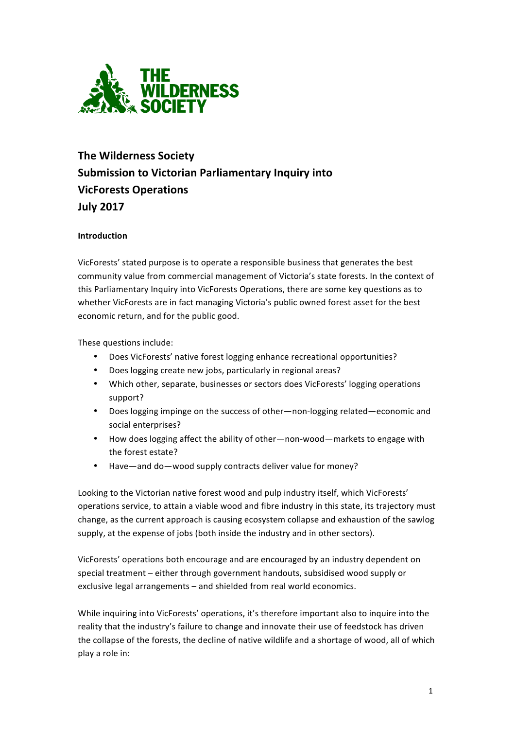

# **The Wilderness Society Submission to Victorian Parliamentary Inquiry into VicForests Operations July 2017**

# **Introduction**

VicForests' stated purpose is to operate a responsible business that generates the best community value from commercial management of Victoria's state forests. In the context of this Parliamentary Inquiry into VicForests Operations, there are some key questions as to whether VicForests are in fact managing Victoria's public owned forest asset for the best economic return, and for the public good.

These questions include:

- Does VicForests' native forest logging enhance recreational opportunities?
- Does logging create new jobs, particularly in regional areas?
- Which other, separate, businesses or sectors does VicForests' logging operations support?
- Does logging impinge on the success of other—non-logging related—economic and social enterprises?
- How does logging affect the ability of other—non-wood—markets to engage with the forest estate?
- Have—and do—wood supply contracts deliver value for money?

Looking to the Victorian native forest wood and pulp industry itself, which VicForests' operations service, to attain a viable wood and fibre industry in this state, its trajectory must change, as the current approach is causing ecosystem collapse and exhaustion of the sawlog supply, at the expense of jobs (both inside the industry and in other sectors).

VicForests' operations both encourage and are encouraged by an industry dependent on special treatment – either through government handouts, subsidised wood supply or exclusive legal arrangements - and shielded from real world economics.

While inquiring into VicForests' operations, it's therefore important also to inquire into the reality that the industry's failure to change and innovate their use of feedstock has driven the collapse of the forests, the decline of native wildlife and a shortage of wood, all of which play a role in: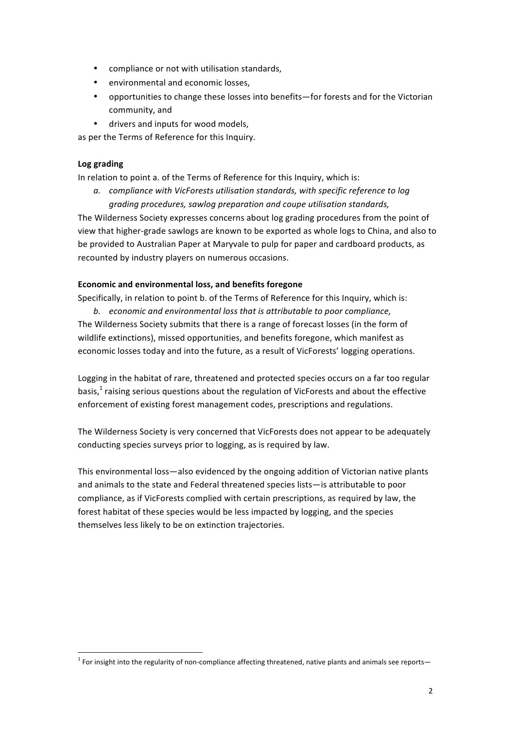- compliance or not with utilisation standards,
- environmental and economic losses.
- opportunities to change these losses into benefits-for forests and for the Victorian community, and
- drivers and inputs for wood models,

as per the Terms of Reference for this Inquiry.

### **Log grading**

In relation to point a. of the Terms of Reference for this Inquiry, which is:

*a. compliance with VicForests utilisation standards, with specific reference to log grading procedures, sawlog preparation and coupe utilisation standards,*

The Wilderness Society expresses concerns about log grading procedures from the point of view that higher-grade sawlogs are known to be exported as whole logs to China, and also to be provided to Australian Paper at Maryvale to pulp for paper and cardboard products, as recounted by industry players on numerous occasions.

## **Economic and environmental loss, and benefits foregone**

Specifically, in relation to point b. of the Terms of Reference for this Inquiry, which is:

b. economic and environmental loss that is attributable to poor compliance, The Wilderness Society submits that there is a range of forecast losses (in the form of wildlife extinctions), missed opportunities, and benefits foregone, which manifest as economic losses today and into the future, as a result of VicForests' logging operations.

Logging in the habitat of rare, threatened and protected species occurs on a far too regular basis, $<sup>1</sup>$  raising serious questions about the regulation of VicForests and about the effective</sup> enforcement of existing forest management codes, prescriptions and regulations.

The Wilderness Society is very concerned that VicForests does not appear to be adequately conducting species surveys prior to logging, as is required by law.

This environmental loss—also evidenced by the ongoing addition of Victorian native plants and animals to the state and Federal threatened species lists—is attributable to poor compliance, as if VicForests complied with certain prescriptions, as required by law, the forest habitat of these species would be less impacted by logging, and the species themselves less likely to be on extinction trajectories.

 $1$  For insight into the regularity of non-compliance affecting threatened, native plants and animals see reports—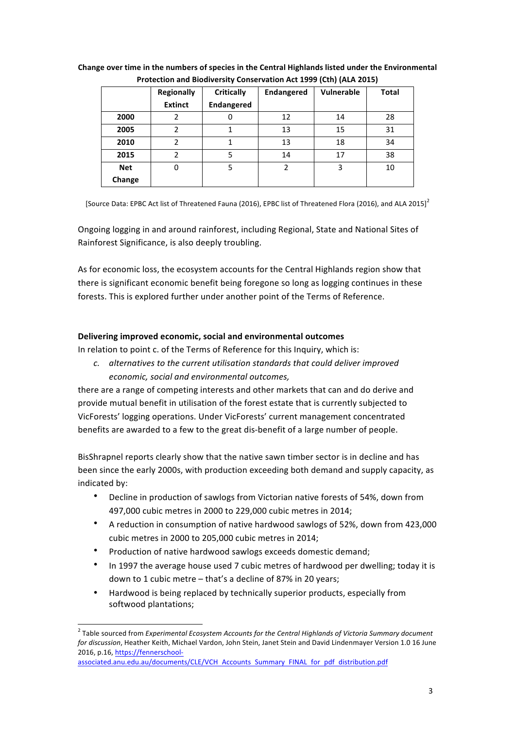|            |                   |                   |                   | . .               |              |
|------------|-------------------|-------------------|-------------------|-------------------|--------------|
|            | <b>Regionally</b> | <b>Critically</b> | <b>Endangered</b> | <b>Vulnerable</b> | <b>Total</b> |
|            | <b>Extinct</b>    | <b>Endangered</b> |                   |                   |              |
| 2000       |                   |                   | 12                | 14                | 28           |
| 2005       | 2                 |                   | 13                | 15                | 31           |
| 2010       | 2                 |                   | 13                | 18                | 34           |
| 2015       | 2                 |                   | 14                | 17                | 38           |
| <b>Net</b> | 0                 | 5                 | 2                 | 3                 | 10           |
| Change     |                   |                   |                   |                   |              |

## Change over time in the numbers of species in the Central Highlands listed under the Environmental **Protection and Biodiversity Conservation Act 1999 (Cth) (ALA 2015)**

[Source Data: EPBC Act list of Threatened Fauna (2016), EPBC list of Threatened Flora (2016), and ALA 2015]<sup>2</sup>

Ongoing logging in and around rainforest, including Regional, State and National Sites of Rainforest Significance, is also deeply troubling.

As for economic loss, the ecosystem accounts for the Central Highlands region show that there is significant economic benefit being foregone so long as logging continues in these forests. This is explored further under another point of the Terms of Reference.

## **Delivering improved economic, social and environmental outcomes**

In relation to point c. of the Terms of Reference for this Inquiry, which is:

c. alternatives to the current utilisation standards that could deliver improved *economic, social and environmental outcomes,*

there are a range of competing interests and other markets that can and do derive and provide mutual benefit in utilisation of the forest estate that is currently subjected to VicForests' logging operations. Under VicForests' current management concentrated benefits are awarded to a few to the great dis-benefit of a large number of people.

BisShrapnel reports clearly show that the native sawn timber sector is in decline and has been since the early 2000s, with production exceeding both demand and supply capacity, as indicated by:

- Decline in production of sawlogs from Victorian native forests of 54%, down from 497,000 cubic metres in 2000 to 229,000 cubic metres in 2014;
- A reduction in consumption of native hardwood sawlogs of 52%, down from 423,000 cubic metres in 2000 to 205,000 cubic metres in 2014;
- Production of native hardwood sawlogs exceeds domestic demand;
- In 1997 the average house used 7 cubic metres of hardwood per dwelling; today it is down to 1 cubic metre - that's a decline of 87% in 20 years;
- Hardwood is being replaced by technically superior products, especially from softwood plantations;

<sup>&</sup>lt;sup>2</sup> Table sourced from *Experimental Ecosystem Accounts for the Central Highlands of Victoria Summary document for discussion*, Heather Keith, Michael Vardon, John Stein, Janet Stein and David Lindenmayer Version 1.0 16 June 2016, p.16, https://fennerschool-

associated.anu.edu.au/documents/CLE/VCH Accounts Summary FINAL for pdf distribution.pdf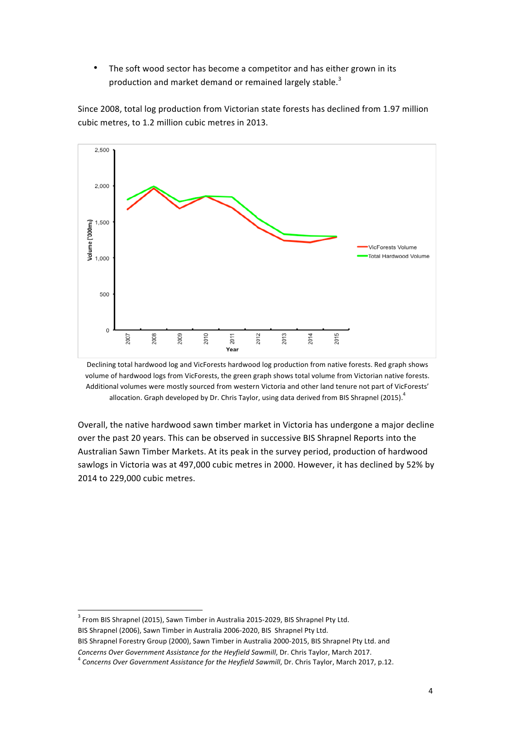• The soft wood sector has become a competitor and has either grown in its production and market demand or remained largely stable.<sup>3</sup>

Since 2008, total log production from Victorian state forests has declined from 1.97 million cubic metres, to 1.2 million cubic metres in 2013.



Declining total hardwood log and VicForests hardwood log production from native forests. Red graph shows volume of hardwood logs from VicForests, the green graph shows total volume from Victorian native forests. Additional volumes were mostly sourced from western Victoria and other land tenure not part of VicForests' allocation. Graph developed by Dr. Chris Taylor, using data derived from BIS Shrapnel (2015).<sup>4</sup>

Overall, the native hardwood sawn timber market in Victoria has undergone a major decline over the past 20 years. This can be observed in successive BIS Shrapnel Reports into the Australian Sawn Timber Markets. At its peak in the survey period, production of hardwood sawlogs in Victoria was at 497,000 cubic metres in 2000. However, it has declined by 52% by 2014 to 229,000 cubic metres.

BIS Shrapnel Forestry Group (2000), Sawn Timber in Australia 2000-2015, BIS Shrapnel Pty Ltd. and *Concerns Over Government Assistance for the Heyfield Sawmill*, Dr. Chris Taylor, March 2017.<br><sup>4</sup> *Concerns Over Government Assistance for the Heyfield Sawmill*, Dr. Chris Taylor, March 2017, p.12.

 $3$  From BIS Shrapnel (2015), Sawn Timber in Australia 2015-2029, BIS Shrapnel Pty Ltd. BIS Shrapnel (2006), Sawn Timber in Australia 2006-2020, BIS Shrapnel Pty Ltd.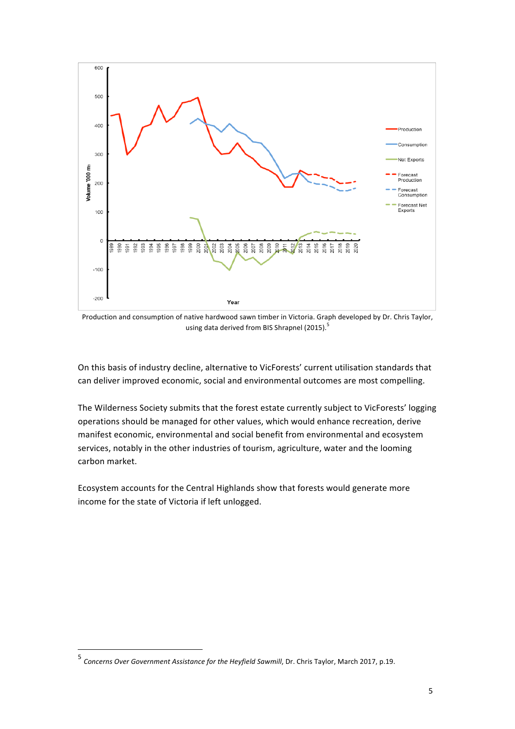

Production and consumption of native hardwood sawn timber in Victoria. Graph developed by Dr. Chris Taylor, using data derived from BIS Shrapnel (2015).<sup>5</sup>

On this basis of industry decline, alternative to VicForests' current utilisation standards that can deliver improved economic, social and environmental outcomes are most compelling.

The Wilderness Society submits that the forest estate currently subject to VicForests' logging operations should be managed for other values, which would enhance recreation, derive manifest economic, environmental and social benefit from environmental and ecosystem services, notably in the other industries of tourism, agriculture, water and the looming carbon market.

Ecosystem accounts for the Central Highlands show that forests would generate more income for the state of Victoria if left unlogged.

 

<sup>&</sup>lt;sup>5</sup> Concerns Over Government Assistance for the Heyfield Sawmill, Dr. Chris Taylor, March 2017, p.19.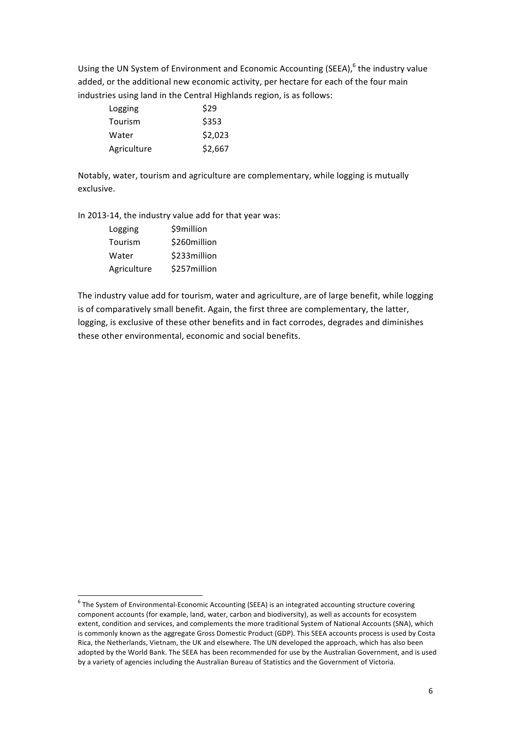Using the UN System of Environment and Economic Accounting (SEEA), $6$  the industry value added, or the additional new economic activity, per hectare for each of the four main industries using land in the Central Highlands region, is as follows:

| Logging     | \$29    |
|-------------|---------|
| Tourism     | \$353   |
| Water       | \$2,023 |
| Agriculture | \$2,667 |

Notably, water, tourism and agriculture are complementary, while logging is mutually exclusive.

In 2013-14, the industry value add for that year was:

| Logging     | \$9million   |  |  |
|-------------|--------------|--|--|
| Tourism     | \$260million |  |  |
| Water       | \$233million |  |  |
| Agriculture | \$257million |  |  |

The industry value add for tourism, water and agriculture, are of large benefit, while logging is of comparatively small benefit. Again, the first three are complementary, the latter, logging, is exclusive of these other benefits and in fact corrodes, degrades and diminishes these other environmental, economic and social benefits.

 $6$  The System of Environmental-Economic Accounting (SEEA) is an integrated accounting structure covering component accounts (for example, land, water, carbon and biodiversity), as well as accounts for ecosystem extent, condition and services, and complements the more traditional System of National Accounts (SNA), which is commonly known as the aggregate Gross Domestic Product (GDP). This SEEA accounts process is used by Costa Rica, the Netherlands, Vietnam, the UK and elsewhere. The UN developed the approach, which has also been adopted by the World Bank. The SEEA has been recommended for use by the Australian Government, and is used by a variety of agencies including the Australian Bureau of Statistics and the Government of Victoria.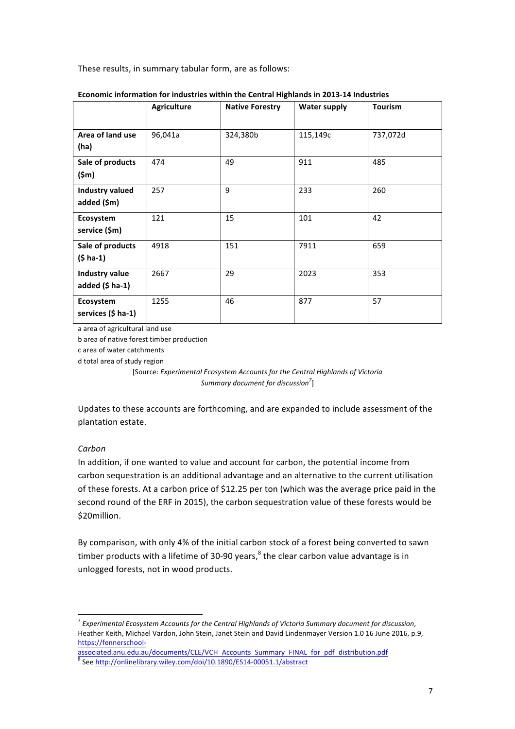These results, in summary tabular form, are as follows:

|                                            | <b>Agriculture</b> | <b>Native Forestry</b> | <b>Water supply</b> | <b>Tourism</b> |
|--------------------------------------------|--------------------|------------------------|---------------------|----------------|
| Area of land use<br>(ha)                   | 96,041a            | 324,380b               | 115,149c            | 737,072d       |
| Sale of products<br>$(\textsf{5m})$        | 474                | 49                     | 911                 | 485            |
| <b>Industry valued</b><br>added (\$m)      | 257                | 9                      | 233                 | 260            |
| Ecosystem<br>service (\$m)                 | 121                | 15                     | 101                 | 42             |
| Sale of products<br>$(5 ha-1)$             | 4918               | 151                    | 7911                | 659            |
| Industry value<br>added $(5 \text{ ha-1})$ | 2667               | 29                     | 2023                | 353            |
| Ecosystem<br>services (\$ ha-1)            | 1255               | 46                     | 877                 | 57             |

#### **Economic information for industries within the Central Highlands in 2013-14 Industries**

a area of agricultural land use

b area of native forest timber production

c area of water catchments 

d total area of study region

[Source: *Experimental Ecosystem Accounts for the Central Highlands of Victoria Summary document for discussion7* ]

Updates to these accounts are forthcoming, and are expanded to include assessment of the plantation estate.

#### *Carbon*

In addition, if one wanted to value and account for carbon, the potential income from carbon sequestration is an additional advantage and an alternative to the current utilisation of these forests. At a carbon price of \$12.25 per ton (which was the average price paid in the second round of the ERF in 2015), the carbon sequestration value of these forests would be \$20million.

By comparison, with only 4% of the initial carbon stock of a forest being converted to sawn timber products with a lifetime of 30-90 years, $^8$  the clear carbon value advantage is in unlogged forests, not in wood products.

<sup>&</sup>lt;sup>7</sup> Experimental Ecosystem Accounts for the Central Highlands of Victoria Summary document for discussion, Heather Keith, Michael Vardon, John Stein, Janet Stein and David Lindenmayer Version 1.0 16 June 2016, p.9, https://fennerschool-

associated.anu.edu.au/documents/CLE/VCH Accounts Summary FINAL for pdf distribution.pdf

<sup>&</sup>lt;sup>8</sup> See http://onlinelibrary.wiley.com/doi/10.1890/ES14-00051.1/abstract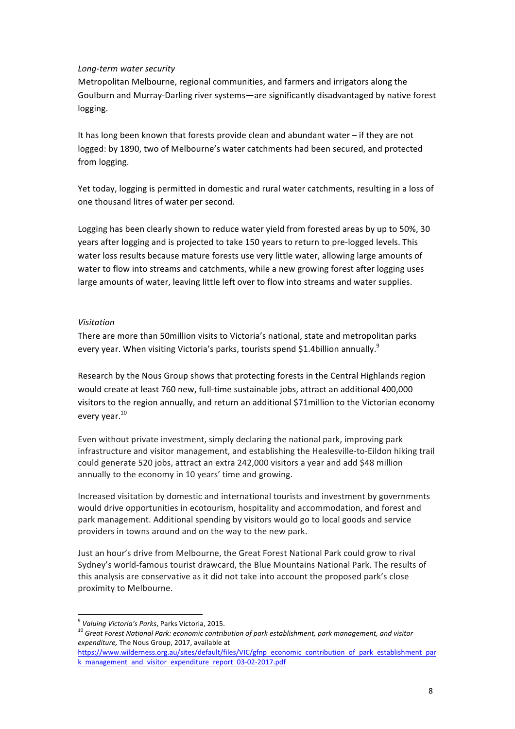#### *Long-term water security*

Metropolitan Melbourne, regional communities, and farmers and irrigators along the Goulburn and Murray-Darling river systems—are significantly disadvantaged by native forest logging. 

It has long been known that forests provide clean and abundant water – if they are not logged: by 1890, two of Melbourne's water catchments had been secured, and protected from logging.

Yet today, logging is permitted in domestic and rural water catchments, resulting in a loss of one thousand litres of water per second.

Logging has been clearly shown to reduce water yield from forested areas by up to 50%, 30 years after logging and is projected to take 150 years to return to pre-logged levels. This water loss results because mature forests use very little water, allowing large amounts of water to flow into streams and catchments, while a new growing forest after logging uses large amounts of water, leaving little left over to flow into streams and water supplies.

#### *Visitation*

There are more than 50million visits to Victoria's national, state and metropolitan parks every year. When visiting Victoria's parks, tourists spend \$1.4billion annually.<sup>9</sup>

Research by the Nous Group shows that protecting forests in the Central Highlands region would create at least 760 new, full-time sustainable jobs, attract an additional 400,000 visitors to the region annually, and return an additional \$71million to the Victorian economy every year.<sup>10</sup>

Even without private investment, simply declaring the national park, improving park infrastructure and visitor management, and establishing the Healesville-to-Eildon hiking trail could generate 520 jobs, attract an extra 242,000 visitors a year and add \$48 million annually to the economy in 10 years' time and growing.

Increased visitation by domestic and international tourists and investment by governments would drive opportunities in ecotourism, hospitality and accommodation, and forest and park management. Additional spending by visitors would go to local goods and service providers in towns around and on the way to the new park.

Just an hour's drive from Melbourne, the Great Forest National Park could grow to rival Sydney's world-famous tourist drawcard, the Blue Mountains National Park. The results of this analysis are conservative as it did not take into account the proposed park's close proximity to Melbourne.

<sup>&</sup>lt;sup>9</sup> Valuing Victoria's Parks, Parks Victoria, 2015.<br><sup>10</sup> Great Forest National Park: economic contribution of park establishment, park management, and visitor expenditure, The Nous Group, 2017, available at

https://www.wilderness.org.au/sites/default/files/VIC/gfnp economic contribution of park establishment par k management and visitor expenditure report 03-02-2017.pdf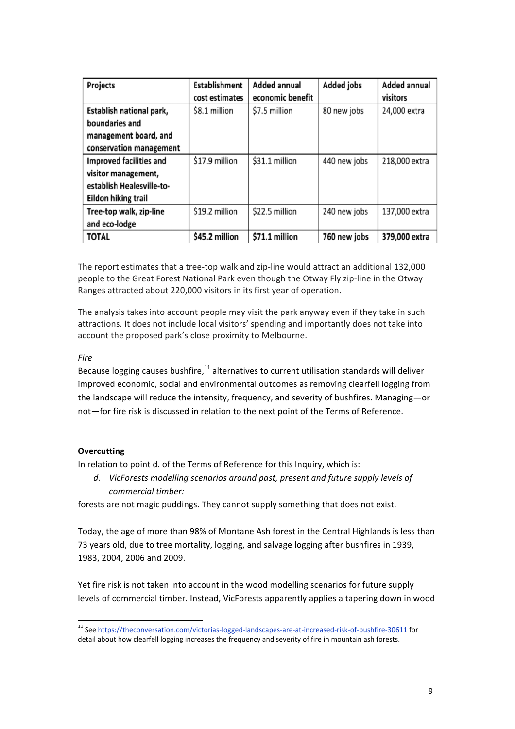| Projects                       | <b>Establishment</b> | <b>Added annual</b> | <b>Added jobs</b> | <b>Added annual</b> |
|--------------------------------|----------------------|---------------------|-------------------|---------------------|
|                                | cost estimates       | economic benefit    |                   | visitors            |
| Establish national park,       | \$8.1 million        | \$7.5 million       | 80 new jobs       | 24,000 extra        |
| boundaries and                 |                      |                     |                   |                     |
| management board, and          |                      |                     |                   |                     |
| conservation management        |                      |                     |                   |                     |
| <b>Improved facilities and</b> | \$17.9 million       | \$31.1 million      | 440 new jobs      | 218,000 extra       |
| visitor management,            |                      |                     |                   |                     |
| establish Healesville-to-      |                      |                     |                   |                     |
| <b>Eildon hiking trail</b>     |                      |                     |                   |                     |
| Tree-top walk, zip-line        | \$19.2 million       | \$22.5 million      | 240 new jobs      | 137,000 extra       |
| and eco-lodge                  |                      |                     |                   |                     |
| <b>TOTAL</b>                   | \$45.2 million       | \$71.1 million      | 760 new jobs      | 379,000 extra       |

The report estimates that a tree-top walk and zip-line would attract an additional 132,000 people to the Great Forest National Park even though the Otway Fly zip-line in the Otway Ranges attracted about 220,000 visitors in its first year of operation.

The analysis takes into account people may visit the park anyway even if they take in such attractions. It does not include local visitors' spending and importantly does not take into account the proposed park's close proximity to Melbourne.

## *Fire*

Because logging causes bushfire, $^{11}$  alternatives to current utilisation standards will deliver improved economic, social and environmental outcomes as removing clearfell logging from the landscape will reduce the intensity, frequency, and severity of bushfires. Managing-or not—for fire risk is discussed in relation to the next point of the Terms of Reference.

#### **Overcutting**

In relation to point d. of the Terms of Reference for this Inquiry, which is:

d. VicForests modelling scenarios around past, present and future supply levels of *commercial timber:*

forests are not magic puddings. They cannot supply something that does not exist.

Today, the age of more than 98% of Montane Ash forest in the Central Highlands is less than 73 years old, due to tree mortality, logging, and salvage logging after bushfires in 1939, 1983, 2004, 2006 and 2009.

Yet fire risk is not taken into account in the wood modelling scenarios for future supply levels of commercial timber. Instead, VicForests apparently applies a tapering down in wood

<sup>&</sup>lt;sup>11</sup> See https://theconversation.com/victorias-logged-landscapes-are-at-increased-risk-of-bushfire-30611 for detail about how clearfell logging increases the frequency and severity of fire in mountain ash forests.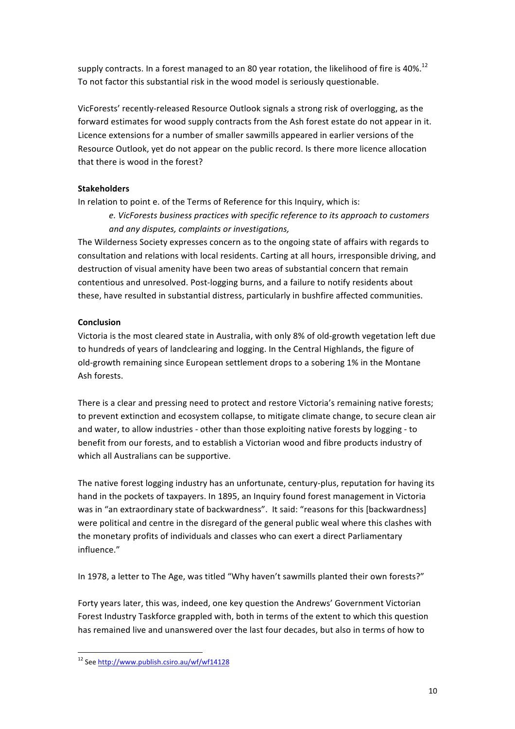supply contracts. In a forest managed to an 80 year rotation, the likelihood of fire is 40%.<sup>12</sup> To not factor this substantial risk in the wood model is seriously questionable.

VicForests' recently-released Resource Outlook signals a strong risk of overlogging, as the forward estimates for wood supply contracts from the Ash forest estate do not appear in it. Licence extensions for a number of smaller sawmills appeared in earlier versions of the Resource Outlook, yet do not appear on the public record. Is there more licence allocation that there is wood in the forest?

# **Stakeholders**

In relation to point e. of the Terms of Reference for this Inquiry, which is:

*e. VicForests business practices with specific reference to its approach to customers and any disputes, complaints or investigations,*

The Wilderness Society expresses concern as to the ongoing state of affairs with regards to consultation and relations with local residents. Carting at all hours, irresponsible driving, and destruction of visual amenity have been two areas of substantial concern that remain contentious and unresolved. Post-logging burns, and a failure to notify residents about these, have resulted in substantial distress, particularly in bushfire affected communities.

# **Conclusion**

Victoria is the most cleared state in Australia, with only 8% of old-growth vegetation left due to hundreds of years of landclearing and logging. In the Central Highlands, the figure of old-growth remaining since European settlement drops to a sobering 1% in the Montane Ash forests.

There is a clear and pressing need to protect and restore Victoria's remaining native forests; to prevent extinction and ecosystem collapse, to mitigate climate change, to secure clean air and water, to allow industries - other than those exploiting native forests by logging - to benefit from our forests, and to establish a Victorian wood and fibre products industry of which all Australians can be supportive.

The native forest logging industry has an unfortunate, century-plus, reputation for having its hand in the pockets of taxpayers. In 1895, an Inquiry found forest management in Victoria was in "an extraordinary state of backwardness". It said: "reasons for this [backwardness] were political and centre in the disregard of the general public weal where this clashes with the monetary profits of individuals and classes who can exert a direct Parliamentary influence."

In 1978, a letter to The Age, was titled "Why haven't sawmills planted their own forests?"

Forty years later, this was, indeed, one key question the Andrews' Government Victorian Forest Industry Taskforce grappled with, both in terms of the extent to which this question has remained live and unanswered over the last four decades, but also in terms of how to

 <sup>12</sup> See http://www.publish.csiro.au/wf/wf14128